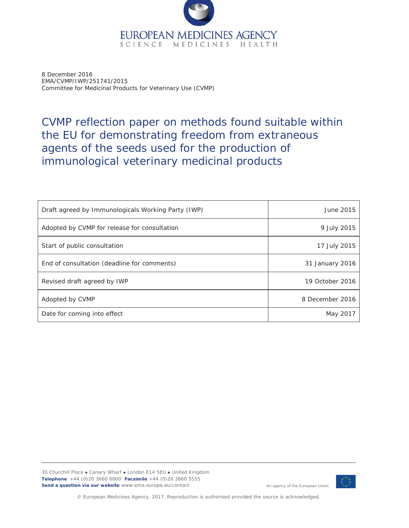

8 December 2016 EMA/CVMP/IWP/251741/2015 Committee for Medicinal Products for Veterinary Use (CVMP)

# CVMP reflection paper on methods found suitable within the EU for demonstrating freedom from extraneous agents of the seeds used for the production of immunological veterinary medicinal products

| Draft agreed by Immunologicals Working Party (IWP) | June 2015       |
|----------------------------------------------------|-----------------|
| Adopted by CVMP for release for consultation       | 9 July 2015     |
| Start of public consultation                       | 17 July 2015    |
| End of consultation (deadline for comments)        | 31 January 2016 |
| Revised draft agreed by IWP                        | 19 October 2016 |
| Adopted by CVMP                                    | 8 December 2016 |
| Date for coming into effect                        | May 2017        |

30 Churchill Place **ł** Canary Wharf **ł** London E14 5EU **ł** United Kingdom **Telephone** +44 (0)20 3660 6000 **Facsimile** +44 (0)20 3660 5555 **Send a question via our website** www.ema.europa.eu/contact



An agency of the European Union

© European Medicines Agency, 2017. Reproduction is authorised provided the source is acknowledged.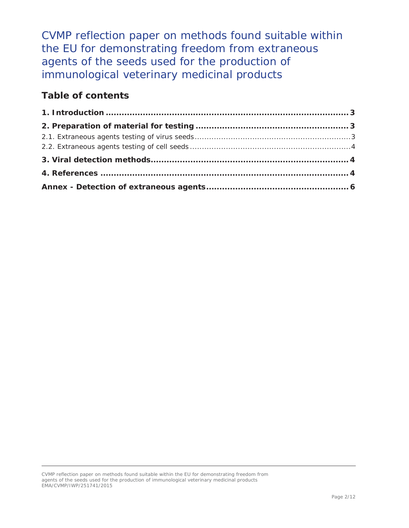CVMP reflection paper on methods found suitable within the EU for demonstrating freedom from extraneous agents of the seeds used for the production of immunological veterinary medicinal products

## **Table of contents**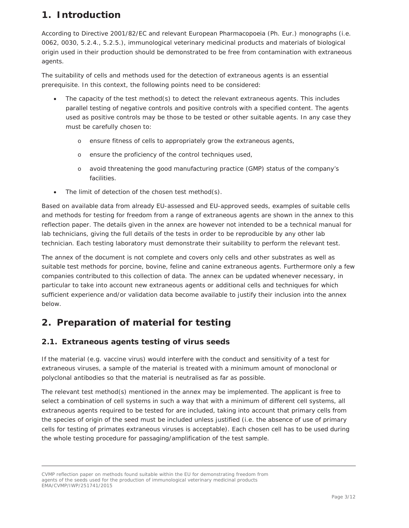# **1. Introduction**

According to Directive 2001/82/EC and relevant European Pharmacopoeia (Ph. Eur.) monographs (i.e. 0062, 0030, 5.2.4., 5.2.5.), immunological veterinary medicinal products and materials of biological origin used in their production should be demonstrated to be free from contamination with extraneous agents.

The suitability of cells and methods used for the detection of extraneous agents is an essential prerequisite. In this context, the following points need to be considered:

- The capacity of the test method(s) to detect the relevant extraneous agents. This includes parallel testing of negative controls and positive controls with a specified content. The agents used as positive controls may be those to be tested or other suitable agents. In any case they must be carefully chosen to:
	- o ensure fitness of cells to appropriately grow the extraneous agents,
	- o ensure the proficiency of the control techniques used,
	- o avoid threatening the good manufacturing practice (GMP) status of the company's facilities.
- The limit of detection of the chosen test method(s).

Based on available data from already EU-assessed and EU-approved seeds, examples of suitable cells and methods for testing for freedom from a range of extraneous agents are shown in the annex to this reflection paper. The details given in the annex are however not intended to be a technical manual for lab technicians, giving the full details of the tests in order to be reproducible by any other lab technician. Each testing laboratory must demonstrate their suitability to perform the relevant test.

The annex of the document is not complete and covers only cells and other substrates as well as suitable test methods for porcine, bovine, feline and canine extraneous agents. Furthermore only a few companies contributed to this collection of data. The annex can be updated whenever necessary, in particular to take into account new extraneous agents or additional cells and techniques for which sufficient experience and/or validation data become available to justify their inclusion into the annex below.

# **2. Preparation of material for testing**

#### *2.1. Extraneous agents testing of virus seeds*

If the material (e.g. vaccine virus) would interfere with the conduct and sensitivity of a test for extraneous viruses, a sample of the material is treated with a minimum amount of monoclonal or polyclonal antibodies so that the material is neutralised as far as possible.

The relevant test method(s) mentioned in the annex may be implemented. The applicant is free to select a combination of cell systems in such a way that with a minimum of different cell systems, all extraneous agents required to be tested for are included, taking into account that primary cells from the species of origin of the seed must be included unless justified (i.e. the absence of use of primary cells for testing of primates extraneous viruses is acceptable). Each chosen cell has to be used during the whole testing procedure for passaging/amplification of the test sample.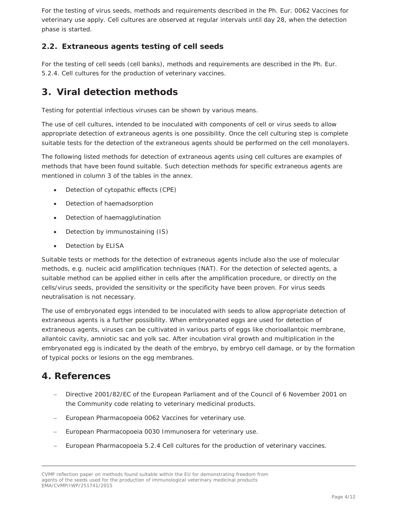For the testing of virus seeds, methods and requirements described in the Ph. Eur. 0062 Vaccines for veterinary use apply. Cell cultures are observed at regular intervals until day 28, when the detection phase is started.

#### *2.2. Extraneous agents testing of cell seeds*

For the testing of cell seeds (cell banks), methods and requirements are described in the Ph. Eur. 5.2.4. Cell cultures for the production of veterinary vaccines.

### **3. Viral detection methods**

Testing for potential infectious viruses can be shown by various means.

The use of cell cultures, intended to be inoculated with components of cell or virus seeds to allow appropriate detection of extraneous agents is one possibility. Once the cell culturing step is complete suitable tests for the detection of the extraneous agents should be performed on the cell monolayers.

The following listed methods for detection of extraneous agents using cell cultures are examples of methods that have been found suitable. Such detection methods for specific extraneous agents are mentioned in column 3 of the tables in the annex.

- Detection of cytopathic effects (CPE)
- Detection of haemadsorption
- Detection of haemagglutination
- Detection by immunostaining (IS)
- Detection by ELISA

Suitable tests or methods for the detection of extraneous agents include also the use of molecular methods, e.g. nucleic acid amplification techniques (NAT). For the detection of selected agents, a suitable method can be applied either in cells after the amplification procedure, or directly on the cells/virus seeds, provided the sensitivity or the specificity have been proven. For virus seeds neutralisation is not necessary.

The use of embryonated eggs intended to be inoculated with seeds to allow appropriate detection of extraneous agents is a further possibility. When embryonated eggs are used for detection of extraneous agents, viruses can be cultivated in various parts of eggs like chorioallantoic membrane, allantoic cavity, amniotic sac and yolk sac. After incubation viral growth and multiplication in the embryonated egg is indicated by the death of the embryo, by embryo cell damage, or by the formation of typical pocks or lesions on the egg membranes.

### **4. References**

- Directive 2001/82/EC of the European Parliament and of the Council of 6 November 2001 on the Community code relating to veterinary medicinal products.
- European Pharmacopoeia 0062 Vaccines for veterinary use.
- European Pharmacopoeia 0030 Immunosera for veterinary use.
- European Pharmacopoeia 5.2.4 Cell cultures for the production of veterinary vaccines.

CVMP reflection paper on methods found suitable within the EU for demonstrating freedom from agents of the seeds used for the production of immunological veterinary medicinal products EMA/CVMP/IWP/251741/2015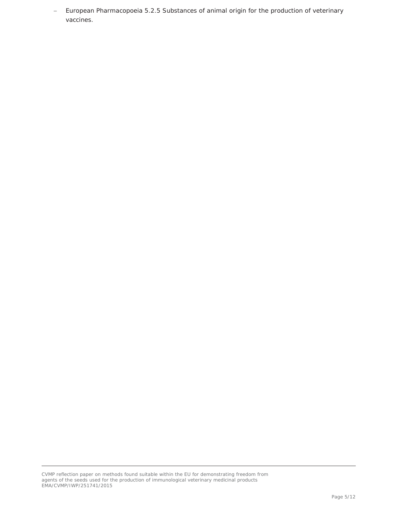- European Pharmacopoeia 5.2.5 Substances of animal origin for the production of veterinary vaccines.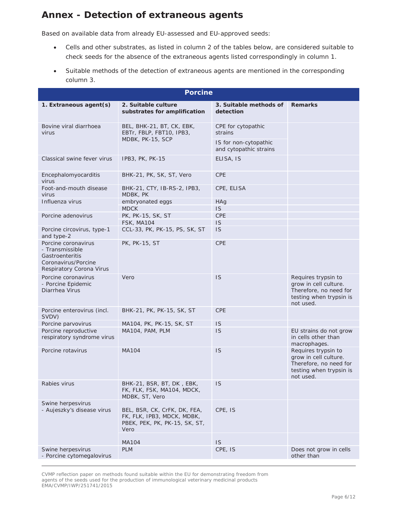### **Annex - Detection of extraneous agents**

Based on available data from already EU-assessed and EU-approved seeds:

- x Cells and other substrates, as listed in column 2 of the tables below, are considered suitable to check seeds for the absence of the extraneous agents listed correspondingly in column 1.
- Suitable methods of the detection of extraneous agents are mentioned in the corresponding column 3.

| <b>Porcine</b>                                                                                               |                                                                                                     |                                                 |                                                                                                                |
|--------------------------------------------------------------------------------------------------------------|-----------------------------------------------------------------------------------------------------|-------------------------------------------------|----------------------------------------------------------------------------------------------------------------|
| 1. Extraneous agent(s)                                                                                       | 2. Suitable culture<br>substrates for amplification                                                 | 3. Suitable methods of<br>detection             | <b>Remarks</b>                                                                                                 |
| Bovine viral diarrhoea<br>virus                                                                              | BEL, BHK-21, BT, CK, EBK,<br>EBTr, FBLP, FBT10, IPB3,<br>MDBK, PK-15, SCP                           | CPE for cytopathic<br>strains                   |                                                                                                                |
|                                                                                                              |                                                                                                     | IS for non-cytopathic<br>and cytopathic strains |                                                                                                                |
| Classical swine fever virus                                                                                  | IPB3, PK, PK-15                                                                                     | ELISA, IS                                       |                                                                                                                |
| Encephalomyocarditis<br>virus                                                                                | BHK-21, PK, SK, ST, Vero                                                                            | <b>CPE</b>                                      |                                                                                                                |
| Foot-and-mouth disease<br>virus                                                                              | BHK-21, CTY, IB-RS-2, IPB3,<br>MDBK, PK                                                             | CPE, ELISA                                      |                                                                                                                |
| Influenza virus                                                                                              | embryonated eggs<br><b>MDCK</b>                                                                     | <b>HAq</b><br>IS.                               |                                                                                                                |
| Porcine adenovirus                                                                                           | PK, PK-15, SK, ST                                                                                   | <b>CPE</b>                                      |                                                                                                                |
|                                                                                                              | <b>FSK, MA104</b>                                                                                   | <b>IS</b>                                       |                                                                                                                |
| Porcine circovirus, type-1<br>and type-2                                                                     | CCL-33, PK, PK-15, PS, SK, ST                                                                       | <b>IS</b>                                       |                                                                                                                |
| Porcine coronavirus<br>- Transmissible<br>Gastroenteritis<br>Coronavirus/Porcine<br>Respiratory Corona Virus | <b>PK, PK-15, ST</b>                                                                                | <b>CPE</b>                                      |                                                                                                                |
| Porcine coronavirus<br>- Porcine Epidemic<br>Diarrhea Virus                                                  | Vero                                                                                                | <b>IS</b>                                       | Requires trypsin to<br>grow in cell culture.<br>Therefore, no need for<br>testing when trypsin is<br>not used. |
| Porcine enterovirus (incl.<br>SVDV)                                                                          | BHK-21, PK, PK-15, SK, ST                                                                           | <b>CPE</b>                                      |                                                                                                                |
| Porcine parvovirus                                                                                           | MA104, PK, PK-15, SK, ST                                                                            | <b>IS</b>                                       |                                                                                                                |
| Porcine reproductive<br>respiratory syndrome virus                                                           | MA104, PAM, PLM                                                                                     | <b>IS</b>                                       | EU strains do not grow<br>in cells other than<br>macrophages.                                                  |
| Porcine rotavirus                                                                                            | MA104                                                                                               | <b>IS</b>                                       | Requires trypsin to<br>grow in cell culture.<br>Therefore, no need for<br>testing when trypsin is<br>not used. |
| Rabies virus                                                                                                 | BHK-21, BSR, BT, DK, EBK,<br>FK, FLK, FSK, MA104, MDCK,<br>MDBK, ST, Vero                           | 1S                                              |                                                                                                                |
| Swine herpesvirus<br>- Aujeszky's disease virus                                                              | BEL, BSR, CK, CrFK, DK, FEA,<br>FK, FLK, IPB3, MDCK, MDBK,<br>PBEK, PEK, PK, PK-15, SK, ST,<br>Vero | CPE, IS                                         |                                                                                                                |
|                                                                                                              | MA104                                                                                               | <b>IS</b>                                       |                                                                                                                |
| Swine herpesvirus<br>- Porcine cytomegalovirus                                                               | <b>PLM</b>                                                                                          | CPE, IS                                         | Does not grow in cells<br>other than                                                                           |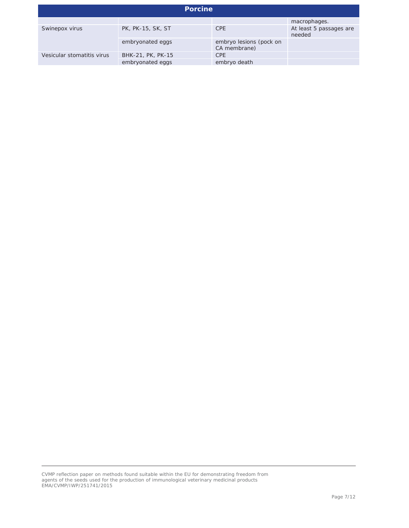| <b>Porcine</b>             |                   |                                         |                                   |
|----------------------------|-------------------|-----------------------------------------|-----------------------------------|
|                            |                   |                                         | macrophages.                      |
| Swinepox virus             | PK, PK-15, SK, ST | <b>CPE</b>                              | At least 5 passages are<br>needed |
|                            | embryonated eggs  | embryo lesions (pock on<br>CA membrane) |                                   |
| Vesicular stomatitis virus | BHK-21, PK, PK-15 | <b>CPE</b>                              |                                   |
|                            | embryonated eggs  | embryo death                            |                                   |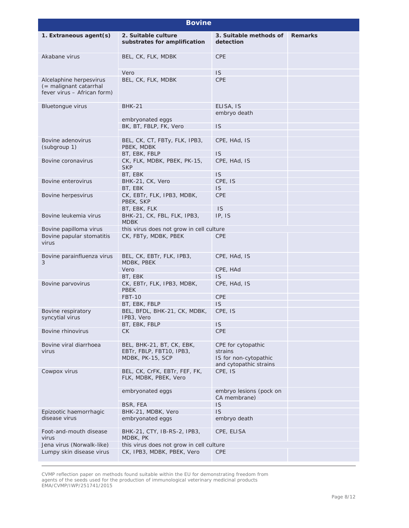| <b>Bovine</b>                                                                       |                                                                           |                                                                                  |                |
|-------------------------------------------------------------------------------------|---------------------------------------------------------------------------|----------------------------------------------------------------------------------|----------------|
| 1. Extraneous agent(s)                                                              | 2. Suitable culture<br>substrates for amplification                       | 3. Suitable methods of<br>detection                                              | <b>Remarks</b> |
| Akabane virus                                                                       | BEL, CK, FLK, MDBK                                                        | <b>CPE</b>                                                                       |                |
|                                                                                     | Vero                                                                      | <b>IS</b>                                                                        |                |
| Alcelaphine herpesvirus<br>$($ = malignant catarrhal<br>fever virus - African form) | BEL, CK, FLK, MDBK                                                        | <b>CPE</b>                                                                       |                |
| <b>Bluetongue virus</b>                                                             | <b>BHK-21</b>                                                             | ELISA, IS<br>embryo death                                                        |                |
|                                                                                     | embryonated eggs                                                          |                                                                                  |                |
|                                                                                     | BK, BT, FBLP, FK, Vero                                                    | IS                                                                               |                |
| Bovine adenovirus<br>(subgroup 1)                                                   | BEL, CK, CT, FBTy, FLK, IPB3,<br>PBEK, MDBK                               | CPE, HAd, IS                                                                     |                |
|                                                                                     | BT, EBK, FBLP                                                             | <b>IS</b>                                                                        |                |
| Bovine coronavirus                                                                  | CK, FLK, MDBK, PBEK, PK-15,<br><b>SKP</b>                                 | CPE, HAd, IS                                                                     |                |
|                                                                                     | BT, EBK                                                                   | <b>IS</b>                                                                        |                |
| Bovine enterovirus                                                                  | BHK-21, CK, Vero                                                          | CPE, IS                                                                          |                |
|                                                                                     | BT, EBK                                                                   | <b>IS</b>                                                                        |                |
| Bovine herpesvirus                                                                  | CK, EBTr, FLK, IPB3, MDBK,<br>PBEK, SKP                                   | <b>CPE</b>                                                                       |                |
|                                                                                     | BT, EBK, FLK                                                              | <b>IS</b>                                                                        |                |
| Bovine leukemia virus                                                               | BHK-21, CK, FBL, FLK, IPB3,<br><b>MDBK</b>                                | IP, IS                                                                           |                |
| Bovine papilloma virus                                                              | this virus does not grow in cell culture                                  |                                                                                  |                |
| Bovine papular stomatitis<br>virus                                                  | CK, FBTy, MDBK, PBEK                                                      | <b>CPE</b>                                                                       |                |
| Bovine parainfluenza virus<br>3                                                     | BEL, CK, EBTr, FLK, IPB3,<br>MDBK, PBEK                                   | CPE, HAd, IS                                                                     |                |
|                                                                                     | Vero                                                                      | CPE, HAd                                                                         |                |
|                                                                                     | BT, EBK                                                                   | <b>IS</b>                                                                        |                |
| Bovine parvovirus                                                                   | CK, EBTr, FLK, IPB3, MDBK,<br><b>PBEK</b>                                 | CPE, HAd, IS                                                                     |                |
|                                                                                     | <b>FBT-10</b>                                                             | <b>CPE</b>                                                                       |                |
|                                                                                     | BT, EBK, FBLP                                                             | <b>IS</b>                                                                        |                |
| Bovine respiratory<br>syncytial virus                                               | BEL, BFDL, BHK-21, CK, MDBK,<br>IPB3, Vero                                | CPE, IS                                                                          |                |
|                                                                                     | BT, EBK, FBLP                                                             | <b>IS</b>                                                                        |                |
| Bovine rhinovirus                                                                   | <b>CK</b>                                                                 | <b>CPE</b>                                                                       |                |
| Bovine viral diarrhoea<br>virus                                                     | BEL, BHK-21, BT, CK, EBK,<br>EBTr, FBLP, FBT10, IPB3,<br>MDBK, PK-15, SCP | CPE for cytopathic<br>strains<br>IS for non-cytopathic<br>and cytopathic strains |                |
| Cowpox virus                                                                        | BEL, CK, CrFK, EBTr, FEF, FK,<br>FLK, MDBK, PBEK, Vero                    | CPE, IS                                                                          |                |
|                                                                                     | embryonated eggs                                                          | embryo lesions (pock on<br>CA membrane)                                          |                |
|                                                                                     | BSR, FEA                                                                  | <b>IS</b>                                                                        |                |
| Epizootic haemorrhagic                                                              | BHK-21, MDBK, Vero                                                        | <b>IS</b>                                                                        |                |
| disease virus                                                                       | embryonated eggs                                                          | embryo death                                                                     |                |
| Foot-and-mouth disease<br>virus                                                     | BHK-21, CTY, IB-RS-2, IPB3,<br>MDBK, PK                                   | CPE, ELISA                                                                       |                |
| Jena virus (Norwalk-like)                                                           | this virus does not grow in cell culture                                  |                                                                                  |                |
| Lumpy skin disease virus                                                            | CK, IPB3, MDBK, PBEK, Vero                                                | <b>CPE</b>                                                                       |                |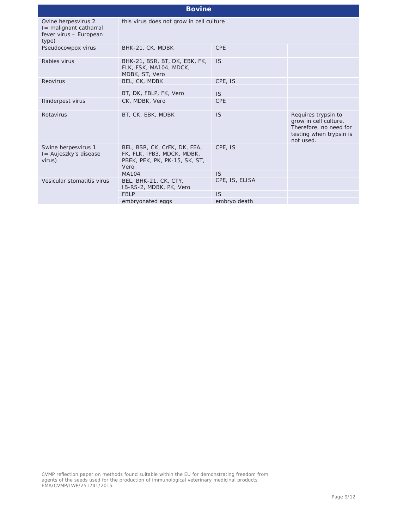| <b>Bovine</b>                                                                       |                                                                                                     |                |                                                                                                                |
|-------------------------------------------------------------------------------------|-----------------------------------------------------------------------------------------------------|----------------|----------------------------------------------------------------------------------------------------------------|
| Ovine herpesvirus 2<br>$($ = malignant catharral<br>fever virus - European<br>type) | this virus does not grow in cell culture                                                            |                |                                                                                                                |
| Pseudocowpox virus                                                                  | BHK-21, CK, MDBK                                                                                    | <b>CPE</b>     |                                                                                                                |
| Rabies virus                                                                        | BHK-21, BSR, BT, DK, EBK, FK,<br>FLK, FSK, MA104, MDCK,<br>MDBK, ST, Vero                           | <b>IS</b>      |                                                                                                                |
| Reovirus                                                                            | BEL, CK, MDBK                                                                                       | CPE, IS        |                                                                                                                |
|                                                                                     | BT, DK, FBLP, FK, Vero                                                                              | <b>IS</b>      |                                                                                                                |
| Rinderpest virus                                                                    | CK, MDBK, Vero                                                                                      | <b>CPE</b>     |                                                                                                                |
| Rotavirus                                                                           | BT, CK, EBK, MDBK                                                                                   | <b>IS</b>      | Requires trypsin to<br>grow in cell culture.<br>Therefore, no need for<br>testing when trypsin is<br>not used. |
| Swine herpesvirus 1<br>(= Aujeszky's disease<br>virus)                              | BEL, BSR, CK, CrFK, DK, FEA,<br>FK, FLK, IPB3, MDCK, MDBK,<br>PBEK, PEK, PK, PK-15, SK, ST,<br>Vero | CPE, IS        |                                                                                                                |
|                                                                                     | <b>MA104</b>                                                                                        | <b>IS</b>      |                                                                                                                |
| Vesicular stomatitis virus                                                          | BEL, BHK-21, CK, CTY,<br>IB-RS-2, MDBK, PK, Vero                                                    | CPE, IS, ELISA |                                                                                                                |
|                                                                                     | <b>FBLP</b>                                                                                         | <b>IS</b>      |                                                                                                                |
|                                                                                     | embryonated eggs                                                                                    | embryo death   |                                                                                                                |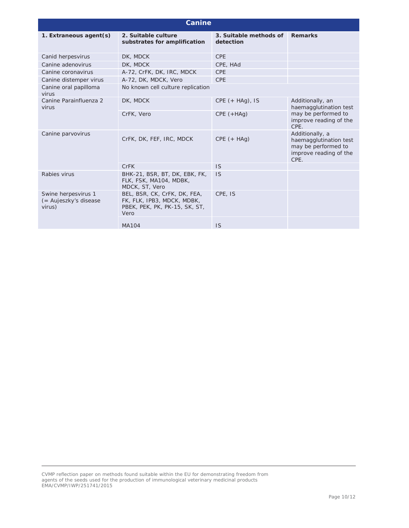| <b>Canine</b>                                          |                                                                                                     |                                     |                                                                                                    |
|--------------------------------------------------------|-----------------------------------------------------------------------------------------------------|-------------------------------------|----------------------------------------------------------------------------------------------------|
| 1. Extraneous agent(s)                                 | 2. Suitable culture<br>substrates for amplification                                                 | 3. Suitable methods of<br>detection | <b>Remarks</b>                                                                                     |
| Canid herpesvirus                                      | DK, MDCK                                                                                            | <b>CPE</b>                          |                                                                                                    |
| Canine adenovirus                                      | DK, MDCK                                                                                            | CPE, HAd                            |                                                                                                    |
| Canine coronavirus                                     | A-72, CrFK, DK, IRC, MDCK                                                                           | <b>CPE</b>                          |                                                                                                    |
| Canine distemper virus                                 | A-72, DK, MDCK, Vero                                                                                | <b>CPE</b>                          |                                                                                                    |
| Canine oral papilloma<br>virus                         | No known cell culture replication                                                                   |                                     |                                                                                                    |
| Canine Parainfluenza 2<br>virus                        | DK, MDCK                                                                                            | $CPE (+ HAq)$ , IS                  | Additionally, an<br>haemagglutination test                                                         |
|                                                        | CrFK, Vero                                                                                          | $CPE (+HAq)$                        | may be performed to<br>improve reading of the<br>CPE.                                              |
| Canine parvovirus                                      | CrFK, DK, FEF, IRC, MDCK                                                                            | $CPE (+ HAg)$                       | Additionally, a<br>haemagglutination test<br>may be performed to<br>improve reading of the<br>CPE. |
|                                                        | <b>CrFK</b>                                                                                         | <b>IS</b>                           |                                                                                                    |
| Rabies virus                                           | BHK-21, BSR, BT, DK, EBK, FK,<br>FLK, FSK, MA104, MDBK,<br>MDCK, ST, Vero                           | <b>IS</b>                           |                                                                                                    |
| Swine herpesvirus 1<br>(= Aujeszky's disease<br>virus) | BEL, BSR, CK, CrFK, DK, FEA,<br>FK, FLK, IPB3, MDCK, MDBK,<br>PBEK, PEK, PK, PK-15, SK, ST,<br>Vero | CPE, IS                             |                                                                                                    |
|                                                        | <b>MA104</b>                                                                                        | <b>IS</b>                           |                                                                                                    |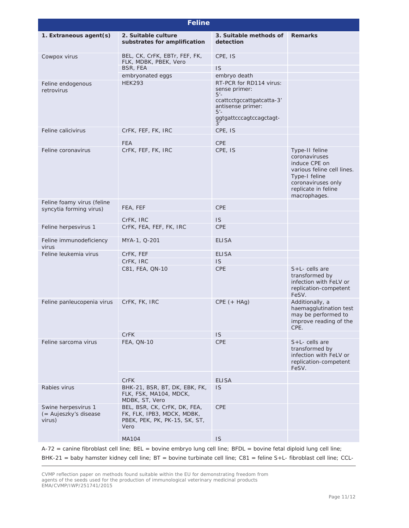| <b>Feline</b>                                          |                                                                                                     |                                                                                                                                                |                                                                                                                                                              |
|--------------------------------------------------------|-----------------------------------------------------------------------------------------------------|------------------------------------------------------------------------------------------------------------------------------------------------|--------------------------------------------------------------------------------------------------------------------------------------------------------------|
| 1. Extraneous agent(s)                                 | 2. Suitable culture<br>substrates for amplification                                                 | 3. Suitable methods of<br>detection                                                                                                            | <b>Remarks</b>                                                                                                                                               |
| Cowpox virus                                           | BEL, CK, CrFK, EBTr, FEF, FK,<br>FLK, MDBK, PBEK, Vero                                              | CPE, IS                                                                                                                                        |                                                                                                                                                              |
|                                                        | BSR, FEA                                                                                            | IS                                                                                                                                             |                                                                                                                                                              |
|                                                        | embryonated eggs                                                                                    | embryo death                                                                                                                                   |                                                                                                                                                              |
| Feline endogenous<br>retrovirus                        | <b>HEK293</b>                                                                                       | RT-PCR for RD114 virus:<br>sense primer:<br>$5'$ -<br>ccattcctgccattgatcatta-3'<br>antisense primer:<br>$5 -$<br>ggtgattcccagtccagctagt-<br>3' |                                                                                                                                                              |
| Feline calicivirus                                     | CrFK, FEF, FK, IRC                                                                                  | CPE, IS                                                                                                                                        |                                                                                                                                                              |
|                                                        | <b>FEA</b>                                                                                          | <b>CPE</b>                                                                                                                                     |                                                                                                                                                              |
| Feline coronavirus                                     | CrFK, FEF, FK, IRC                                                                                  | CPE, IS                                                                                                                                        | Type-II feline<br>coronaviruses<br>induce CPE on<br>various feline cell lines.<br>Type-I feline<br>coronaviruses only<br>replicate in feline<br>macrophages. |
| Feline foamy virus (feline<br>syncytia forming virus)  | FEA, FEF                                                                                            | <b>CPE</b>                                                                                                                                     |                                                                                                                                                              |
|                                                        | CrFK, IRC                                                                                           | <b>IS</b>                                                                                                                                      |                                                                                                                                                              |
| Feline herpesvirus 1                                   | CrFK, FEA, FEF, FK, IRC                                                                             | <b>CPE</b>                                                                                                                                     |                                                                                                                                                              |
| Feline immunodeficiency<br>virus                       | MYA-1, Q-201                                                                                        | <b>ELISA</b>                                                                                                                                   |                                                                                                                                                              |
| Feline leukemia virus                                  | CrFK, FEF                                                                                           | <b>ELISA</b>                                                                                                                                   |                                                                                                                                                              |
|                                                        | CrFK, IRC                                                                                           | <b>IS</b>                                                                                                                                      |                                                                                                                                                              |
|                                                        | C81, FEA, QN-10                                                                                     | <b>CPE</b>                                                                                                                                     | $S+L$ - cells are<br>transformed by<br>infection with FeLV or<br>replication-competent<br>FeSV.                                                              |
| Feline panleucopenia virus                             | CrFK, FK, IRC                                                                                       | $CPE (+ HAg)$                                                                                                                                  | Additionally, a<br>haemagglutination test<br>may be performed to<br>improve reading of the<br>CPE.                                                           |
|                                                        | <b>CrFK</b>                                                                                         | <b>IS</b>                                                                                                                                      |                                                                                                                                                              |
| Feline sarcoma virus                                   | FEA, QN-10                                                                                          | <b>CPE</b>                                                                                                                                     | $S+L-$ cells are<br>transformed by<br>infection with FeLV or<br>replication-competent<br>FeSV.                                                               |
|                                                        | <b>CrFK</b>                                                                                         | <b>ELISA</b>                                                                                                                                   |                                                                                                                                                              |
| Rabies virus                                           | BHK-21, BSR, BT, DK, EBK, FK,<br>FLK, FSK, MA104, MDCK,<br>MDBK, ST, Vero                           | <b>IS</b>                                                                                                                                      |                                                                                                                                                              |
| Swine herpesvirus 1<br>(= Aujeszky's disease<br>virus) | BEL, BSR, CK, CrFK, DK, FEA,<br>FK, FLK, IPB3, MDCK, MDBK,<br>PBEK, PEK, PK, PK-15, SK, ST,<br>Vero | <b>CPE</b>                                                                                                                                     |                                                                                                                                                              |
|                                                        | <b>MA104</b>                                                                                        | IS                                                                                                                                             |                                                                                                                                                              |
|                                                        |                                                                                                     |                                                                                                                                                |                                                                                                                                                              |

A-72 = canine fibroblast cell line; BEL = bovine embryo lung cell line; BFDL = bovine fetal diploid lung cell line;

BHK-21 = baby hamster kidney cell line; BT = bovine turbinate cell line; C81 = feline S+L- fibroblast cell line; CCL-